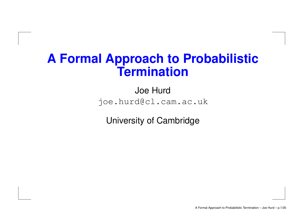### **A Formal Approach to Probabilistic Termination**

Joe Hurd joe.hurd@cl.cam.ac.uk

University of Cambridge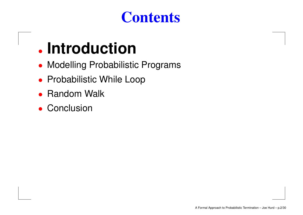### **Contents**

# • **Introduction**

- Modelling Probabilistic Programs
- Probabilistic While Loop
- •• Random Walk
- Conclusion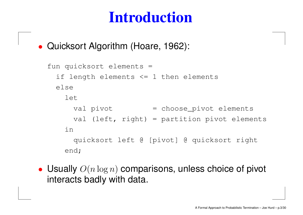• Quicksort Algorithm (Hoare, 1962):

```
fun quicksort elements =
 if length elements <= 1 then elements
elseletval pivot         = choose_pivot elements
     val (left, right) = partition pivot elements
  inquicksort left @ [pivot] @ quicksort right
  end;
```
• Usually  $O(n\log n)$  comparisons, unless choice of pivot interacts badly with data.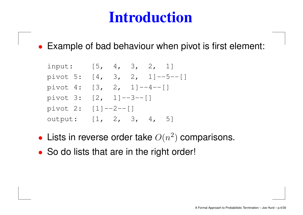• Example of bad behaviour when pivot is first element:

input: [5, 4, 3, 2, 1] pivot 5: [4, 3, 2, 1]--5--[] pivot 4:  $[3, 2, 1]^{--4--}[$ pivot 3: [2, 1]--3--[] pivot 2: [1]--2--[] output: [1, 2, 3, 4, 5]

- Lists in reverse order take  $O(n^2)$  comparisons.
- So do lists that are in the right order!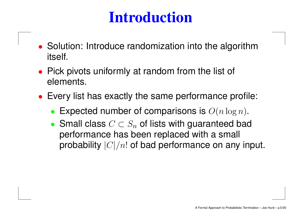- Solution: Introduce randomization into the algorithm itself.
- Pick pivots uniformly at random from the list of elements.
- Every list has exactly the same performance profile:
	- •Expected number of comparisons is  $O(n \log n)$ .
	- Small class  $C \subset S_n$  of lists with guaranteed bad performance has been replaced with <sup>a</sup> small probability  $|C|/n!$  of bad performance on any input.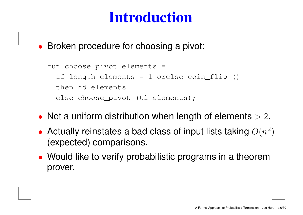• Broken procedure for choosing <sup>a</sup> pivot:

```
fun choose_pivot elements =
if length elements = 1 orelse coin_flip ()
then hd elements
 else choose_pivot (tl elements);
```
- Not a uniform distribution when length of elements  $> 2$ .
- Actually reinstates a bad class of input lists taking  $O(n^2)$ (expected) comparisons.
- Would like to verify probabilistic programs in <sup>a</sup> theorem prover.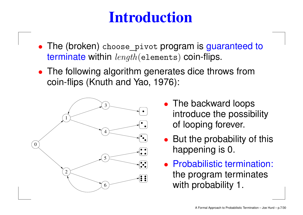- The (broken) choose\_pivot program is guaranteed to terminate within length(elements) coin-flips.
- The following algorithm generates dice throws from coin-flips (Knuth and Yao, 1976):



- The backward loops introduce the possibility of looping forever.
- But the probability of this happening is 0.
- Probabilistic termination: the program terminates with probability 1.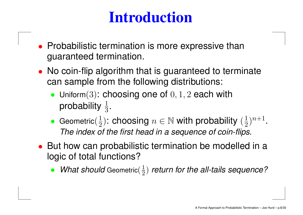- Probabilistic termination is more expressive than guaranteed termination.
- No coin-flip algorithm that is guaranteed to terminate can sample from the following distributions:
	- Uniform $(3)$ : choosing one of  $0, 1, 2$  each with probability  $\frac{1}{3}.$
	- •• Geometric $(\frac{1}{2})$ : choosing  $n\in \mathbb{N}$  with probability  $(\frac{1}{2})^{n+1}.$ The index of the first head in <sup>a</sup> sequence of coin-flips.
- But how can probabilistic termination be modelled in <sup>a</sup> logic of total functions?
	- What should Geometric $(\frac{1}{2})$  return for the all-tails sequence?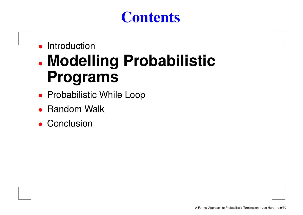### **Contents**

#### •**Introduction**

### • **Modelling Probabilistic Programs**

- Probabilistic While Loop
- •• Random Walk
- Conclusion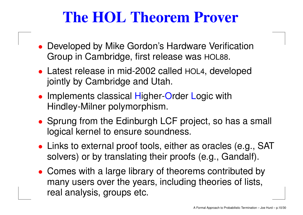## **The HOL Theorem Prover**

- Developed by Mike Gordon's Hardware Verification Group in Cambridge, first release was HOL88.
- Latest release in mid-2002 called HOL4, developed jointly by Cambridge and Utah.
- Implements classical Higher-Order Logic with Hindley-Milner polymorphism.
- Sprung from the Edinburgh LCF project, so has <sup>a</sup> small logical kernel to ensure soundness.
- Links to external proof tools, either as oracles (e.g., SAT solvers) or by translating their proofs (e.g., Gandalf).
- Comes with <sup>a</sup> large library of theorems contributed by many users over the years, including theories of lists, real analysis, groups etc.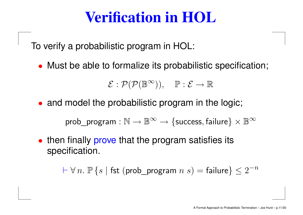### **Verification in HOL**

To verify <sup>a</sup> probabilistic program in HOL:

• Must be able to formalize its probabilistic specification;

 $\mathcal{E}: \mathcal{P}(\mathcal{P}(\mathbb{B}^{\infty})), \quad \mathbb{P}: \mathcal{E} \rightarrow \mathbb{R}$ 

• and model the probabilistic program in the logic;

prob\_program :  $\mathbb{N} \to \mathbb{B}^{\infty} \to \{\text{success}, \text{failure}\} \times \mathbb{B}^{\infty}$ 

• then finally prove that the program satisfies its specification.

 $\vdash \forall \, n.$   $\mathbb{P} \left\{ s \mid \mathsf{fst} \; (\mathsf{prob\_program} \; n \; s) = \mathsf{failure} \right\} \leq 2^{-n}$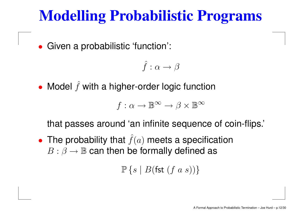## **Modelling Probabilistic Programs**

•Given <sup>a</sup> probabilistic 'function':

$$
\hat{f}:\alpha\to\beta
$$

• Model  $\hat{f}$  $f$  with a higher-order logic function

$$
f: \alpha \to \mathbb{B}^{\infty} \to \beta \times \mathbb{B}^{\infty}
$$

that passes around 'an infinite sequence of coin-flips.'

• The probability that  $\hat{f}$  $f(a)$  meets a specification  $B:\beta\rightarrow\mathbb{B}$  can then be formally defined as

 $\mathbb{P}\left\{s\mid B(\mathsf{fst}\; (f\; a\; s))\right\}$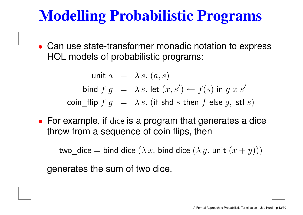## **Modelling Probabilistic Programs**

• Can use state-transformer monadic notation to express HOL models of probabilistic programs:

> unit  $a\;\;=\;\; \lambda\, s.\; (a,s)$ bind  $f \; g \;\; = \;\; \lambda \, s.$  let  $(x,s') \leftarrow f(s)$  in  $g \; x \; s'$  $\mathsf{coin\_flip}~f~g~=~\lambda\,s.~(\text{if shd}~s~\text{then}~f~\text{else}~g,~\text{stl}~s)$

• For example, if dice is <sup>a</sup> program that generates <sup>a</sup> dice throw from <sup>a</sup> sequence of coin flips, then

two\_dice  $=$  bind dice  $(\lambda\,x.$  bind dice  $(\lambda\,y.$  unit  $(x+y)))$ 

generates the sum of two dice.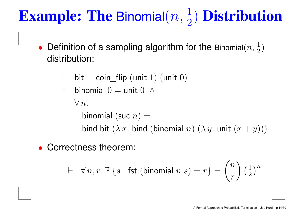# **Example: The Binomial** $(n, \frac{1}{2})$  **Distribution**

- $\bullet$ • Definition of a sampling algorithm for the Binomial $(n, \frac{1}{2})$ distribution:
	- $\vdash\;$  bit  $=$  coin\_flip (unit  $1)$  (unit  $0)$

$$
\vdash \text{ binomial } 0 = \text{unit } 0 \ \wedge
$$

 $\forall\,n.$ 

binomial (suc  $n)=\,$ bind bit  $(\lambda\,x.$  bind (binomial  $n)$   $(\lambda\,y.$  unit  $(x+y)))$ 

•Correctness theorem:

$$
\vdash \forall n, r. \; \mathbb{P}\left\{s \mid \text{fst (binomial } n \; s) = r\right\} = \binom{n}{r} \left(\frac{1}{2}\right)^n
$$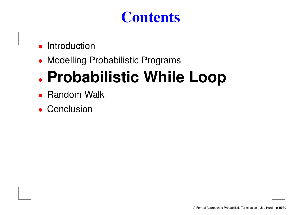### **Contents**

- •**Introduction**
- Modelling Probabilistic Programs

### •**Probabilistic While Loop**

- •• Random Walk
- Conclusion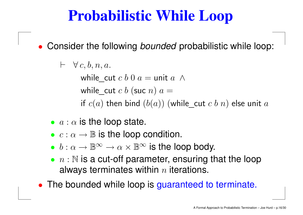## **Probabilistic While Loop**

• Consider the following bounded probabilistic while loop:

$$
\vdash \ \ \forall\, c, b, n, a.
$$

while\_cut  $c$   $b$   $0$   $a=$  unit  $a$   $\wedge$ while\_cut  $c$   $b$  (suc  $n)$   $a =$ if  $\overline{c}(a)$  then bind  $(b(a))$  (while\_cut  $c$   $b$   $n)$  else unit  $a$ 

- $\bullet$   $a : \alpha$  is the loop state.
- $\bullet\, \ c : \alpha \to \mathbb{B}$  is the loop condition.
- $\bullet\;b:\alpha\to\mathbb{B}^\infty\to\alpha\times\mathbb{B}^\infty$  is the loop body.
- $\bullet$   $n:\mathbb{N}$  is a cut-off parameter, ensuring that the loop always terminates within  $n$  iterations.
- The bounded while loop is guaranteed to terminate.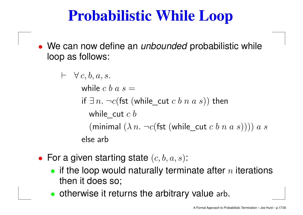## **Probabilistic While Loop**

• We can now define an *unbounded* probabilistic while loop as follows:

> $\;\vdash\; \; \forall\, c, b, a, s.$ while  $\emph{c}$   $\emph{b}$   $\emph{a}$   $\emph{s}$   $=$ if  $\exists\, n.\,\neg c($ fst (while\_cut  $c\; b\; n\; a\; s))$  then while\_cut  $\emph{c}~\emph{b}$ (minimal  $(\lambda n. \neg c$  (fst (while cut c b n a s)))) a s else arb

- For a given starting state  $(c, b, a, s)$ :
	- if the loop would naturally terminate after  $n$  iterations then it does so;
	- otherwise it returns the arbitrary value arb.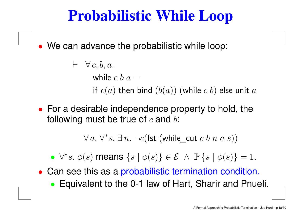### **Probabilistic While Loop**

• We can advance the probabilistic while loop:

 $\;\vdash\; \; \forall\, c, b, a.$ while  $\emph{c}~\emph{b}~\emph{a} =$ if  $\overline{c}(a)$  then bind  $(b(a))$  (while  $c$   $b)$  else unit  $a$ 

• For <sup>a</sup> desirable independence property to hold, the following must be true of  $c$  and  $b$ :

 $\forall\, a.\ \forall^*s.\ \exists\, n.\ \neg c(\mathsf{fst}\ (\mathsf{while\_cut}\ c\ b\ n\ a\ s))$ 

- $\forall^*s. \phi(s)$  means  $\{s \mid \phi(s)\}\in \mathcal{E} \land \mathbb{P}\{s \mid \phi(s)\}=1$ .
- Can see this as <sup>a</sup> probabilistic termination condition.
	- Equivalent to the 0-1 law of Hart, Sharir and Pnueli.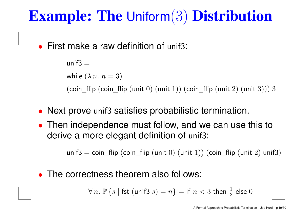### **Example: The** Uniform(3) **Distribution**

•First make a raw definition of unif3:

> $\vdash$ unif $3 =$ while  $(\lambda\, n.\ n=3)$ (coin\_flip (coin\_flip (unit  $0$ ) (unit  $1$ )) (coin\_flip (unit  $2$ ) (unit  $3$ ))) 3

- Next prove unif3 satisfies probabilistic termination.
- Then independence must follow, and we can use this to derive <sup>a</sup> more elegant definition of unif3:
	- $\vdash$  $\vdash$   $\;$  unif3  $=$  coin\_flip (coin\_flip (unit  $0)$  (unit  $1))$  (coin\_flip (unit  $2)$  unif3)
- $\bullet$ • The correctness theorem also follows:

 $\ \vdash \quad \forall \, n. \; \mathbb{P} \left\{ s \mid \mathsf{fst} \; (\mathsf{unif3} \; s) = n \right\} = \mathsf{if} \; n < 3 \; \mathsf{then} \; \tfrac{1}{3} \; \mathsf{else} \; 0$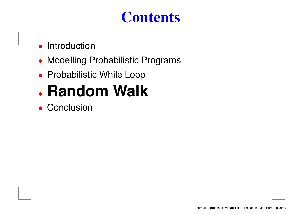### **Contents**

- •**Introduction**
- Modelling Probabilistic Programs
- Probabilistic While Loop
- **Random Walk**
- Conclusion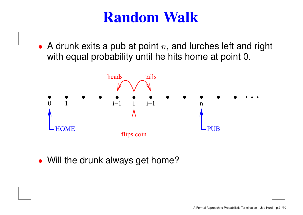• A drunk exits a pub at point  $n$ , and lurches left and right with equal probability until he hits home at point 0.



• Will the drunk always get home?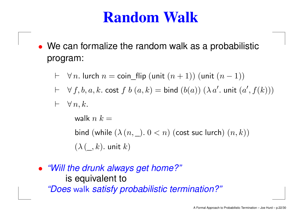- We can formalize the random walk as <sup>a</sup> probabilistic program:
	- $\;\vdash\; \;\forall\, n.$  lurch  $n=$  coin\_flip (unit  $(n+1))$  (unit  $(n-1))$
	- $\vdash \;\;\forall \, f, b, a, k. \textsf{cost } f\; b\; (a, k) = \textsf{bind } (b(a)) \; (\lambda \, a'. \textsf{unit } (a', f(k)))$
	- $\;\vdash\; \; \forall \, n, k.$

walk  $n$   $k = \,$ bind  $(\operatorname{\mathsf{while}}\ (\lambda\ (n,\underline{\hspace{0.3cm}})\ \ldotp 0 < n)$   $(\operatorname{\mathsf{cost}}\ \operatorname{\mathsf{suc}}\ \operatorname{\mathsf{lurch}})\ (n,k))$  $(\lambda(\_,k)$ . unit  $k)$ 

• "Will the drunk always get home?" is equivalent to "Does walk satisfy probabilistic termination?"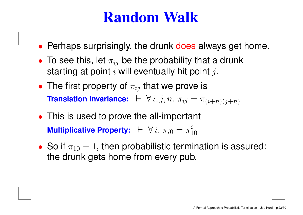- Perhaps surprisingly, the drunk does always get home.
- To see this, let  $\pi_{ij}$  be the probability that a drunk starting at point  $i$  will eventually hit point  $j$ .
- The first property of  $\pi_{ij}$  that we prove is **Translation Invariance:**  $\;\vdash\; \forall\, i,j,n.\;\pi_{ij} = \pi_{(i+n)(j+n)}$
- This is used to prove the all-important **Multiplicative Property:**  $\vdash \forall i. \pi_{i0} = \pi_{10}^i$
- So if  $\pi_{10} = 1$ , then probabilistic termination is assured: the drunk gets home from every pub.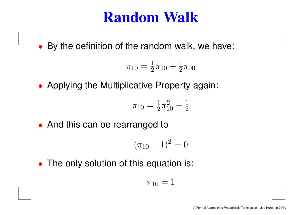• By the definition of the random walk, we have:

$$
\pi_{10} = \frac{1}{2}\pi_{20} + \frac{1}{2}\pi_{00}
$$

• Applying the Multiplicative Property again:

$$
\pi_{10} = \frac{1}{2}\pi_{10}^2 + \frac{1}{2}
$$

• And this can be rearranged to

$$
(\pi_{10}-1)^2=0
$$

• The only solution of this equation is:

$$
\pi_{10}=1
$$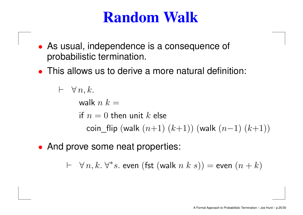- As usual, independence is <sup>a</sup> consequence of probabilistic termination.
- •This allows us to derive a more natural definition:

```
\vdash \ \ \forall \, n, k.walk n k = \,if n=0 then unit k else
           \mathsf{coin\_flip}\ (\mathsf{walk}\ (n{+}1)\ (k{+}1))\ (\mathsf{walk}\ (n{-}1)\ (k{+}1))
```
• And prove some neat properties:

 $\;\vdash\; \; \forall\, n,k.\; \forall^*s.$  even  $(\mathsf{fst}\;(\mathsf{walk}\; n\; k\; s)) = \mathsf{even}\; (n+k)$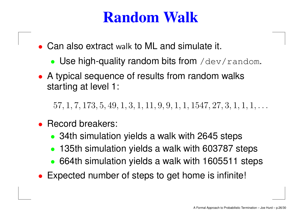- Can also extract walk to ML and simulate it.
	- Use high-quality random bits from /dev/random.
- A typical sequence of results from random walks starting at level 1:

 $57, 1, 7, 173, 5, 49, 1, 3, 1, 11, 9, 9, 1, 1, 1547, 27, 3, 1, 1, 1, \ldots$ 

- • Record breakers:
	- 34th simulation yields a walk with 2645 steps
	- $\bullet$ 135th simulation yields <sup>a</sup> walk with 603787 steps
	- 664th simulation yields <sup>a</sup> walk with 1605511 steps
- •Expected number of steps to get home is infinite!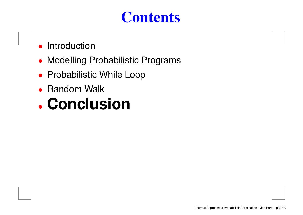### **Contents**

- •**Introduction**
- Modelling Probabilistic Programs
- Probabilistic While Loop
- $\bullet$ • Random Walk

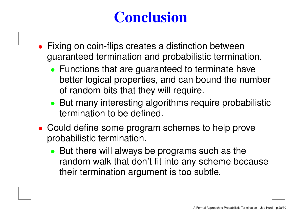## **Conclusion**

- Fixing on coin-flips creates <sup>a</sup> distinction between guaranteed termination and probabilistic termination.
	- Functions that are guaranteed to terminate have better logical properties, and can bound the number of random bits that they will require.
	- But many interesting algorithms require probabilistic termination to be defined.
- Could define some program schemes to help prove probabilistic termination.
	- But there will always be programs such as the random walk that don't fit into any scheme because their termination argument is too subtle.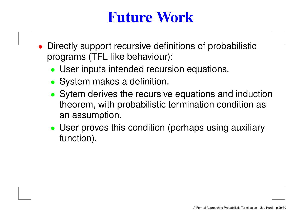### **Future Work**

- Directly support recursive definitions of probabilistic programs (TFL-like behaviour):
	- User inputs intended recursion equations.
	- System makes <sup>a</sup> definition.
	- Sytem derives the recursive equations and induction theorem, with probabilistic termination condition as an assumption.
	- User proves this condition (perhaps using auxiliary function).